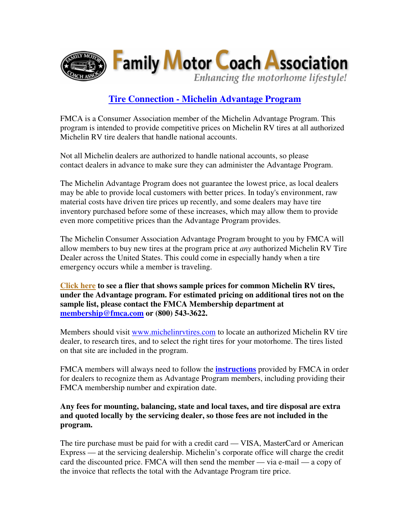

## **Tire Connection - Michelin Advantage Program**

FMCA is a Consumer Association member of the Michelin Advantage Program. This program is intended to provide competitive prices on Michelin RV tires at all authorized Michelin RV tire dealers that handle national accounts.

Not all Michelin dealers are authorized to handle national accounts, so please contact dealers in advance to make sure they can administer the Advantage Program.

The Michelin Advantage Program does not guarantee the lowest price, as local dealers may be able to provide local customers with better prices. In today's environment, raw material costs have driven tire prices up recently, and some dealers may have tire inventory purchased before some of these increases, which may allow them to provide even more competitive prices than the Advantage Program provides.

The Michelin Consumer Association Advantage Program brought to you by FMCA will allow members to buy new tires at the program price at *any* authorized Michelin RV Tire Dealer across the United States. This could come in especially handy when a tire emergency occurs while a member is traveling.

**Click here to see a flier that shows sample prices for common Michelin RV tires, under the Advantage program. For estimated pricing on additional tires not on the sample list, please contact the FMCA Membership department at membership@fmca.com or (800) 543-3622.**

Members should visit www.michelinrvtires.com to locate an authorized Michelin RV tire dealer, to research tires, and to select the right tires for your motorhome. The tires listed on that site are included in the program.

FMCA members will always need to follow the **instructions** provided by FMCA in order for dealers to recognize them as Advantage Program members, including providing their FMCA membership number and expiration date.

## **Any fees for mounting, balancing, state and local taxes, and tire disposal are extra and quoted locally by the servicing dealer, so those fees are not included in the program.**

The tire purchase must be paid for with a credit card — VISA, MasterCard or American Express — at the servicing dealership. Michelin's corporate office will charge the credit card the discounted price. FMCA will then send the member — via e-mail — a copy of the invoice that reflects the total with the Advantage Program tire price.